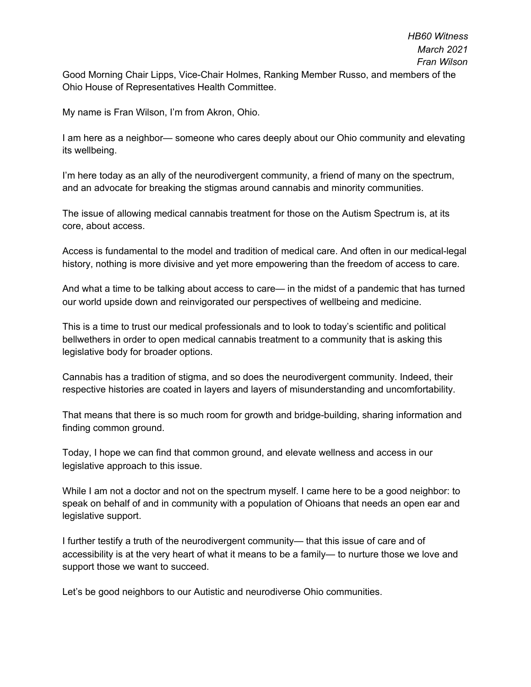Good Morning Chair Lipps, Vice-Chair Holmes, Ranking Member Russo, and members of the Ohio House of Representatives Health Committee.

My name is Fran Wilson, I'm from Akron, Ohio.

I am here as a neighbor— someone who cares deeply about our Ohio community and elevating its wellbeing.

I'm here today as an ally of the neurodivergent community, a friend of many on the spectrum, and an advocate for breaking the stigmas around cannabis and minority communities.

The issue of allowing medical cannabis treatment for those on the Autism Spectrum is, at its core, about access.

Access is fundamental to the model and tradition of medical care. And often in our medical-legal history, nothing is more divisive and yet more empowering than the freedom of access to care.

And what a time to be talking about access to care— in the midst of a pandemic that has turned our world upside down and reinvigorated our perspectives of wellbeing and medicine.

This is a time to trust our medical professionals and to look to today's scientific and political bellwethers in order to open medical cannabis treatment to a community that is asking this legislative body for broader options.

Cannabis has a tradition of stigma, and so does the neurodivergent community. Indeed, their respective histories are coated in layers and layers of misunderstanding and uncomfortability.

That means that there is so much room for growth and bridge-building, sharing information and finding common ground.

Today, I hope we can find that common ground, and elevate wellness and access in our legislative approach to this issue.

While I am not a doctor and not on the spectrum myself. I came here to be a good neighbor: to speak on behalf of and in community with a population of Ohioans that needs an open ear and legislative support.

I further testify a truth of the neurodivergent community— that this issue of care and of accessibility is at the very heart of what it means to be a family— to nurture those we love and support those we want to succeed.

Let's be good neighbors to our Autistic and neurodiverse Ohio communities.